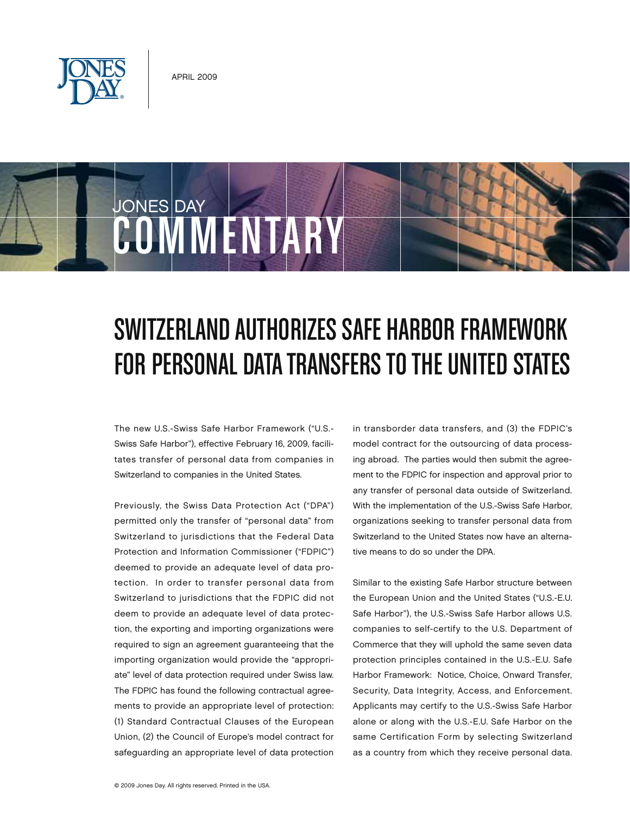

JONES DAY

## SWITZERLAND AUTHORIZES SAFE HARBOR FRAMEWORK FOR PERSONAL DATA TRANSFERS TO THE UNITED STATES

The new U.S.-Swiss Safe Harbor Framework ("U.S.- Swiss Safe Harbor"), effective February 16, 2009, facilitates transfer of personal data from companies in Switzerland to companies in the United States.

**COMMENTARY** 

Previously, the Swiss Data Protection Act ("DPA") permitted only the transfer of "personal data" from Switzerland to jurisdictions that the Federal Data Protection and Information Commissioner ("FDPIC") deemed to provide an adequate level of data protection. In order to transfer personal data from Switzerland to jurisdictions that the FDPIC did not deem to provide an adequate level of data protection, the exporting and importing organizations were required to sign an agreement guaranteeing that the importing organization would provide the "appropriate" level of data protection required under Swiss law. The FDPIC has found the following contractual agreements to provide an appropriate level of protection: (1) Standard Contractual Clauses of the European Union, (2) the Council of Europe's model contract for safeguarding an appropriate level of data protection

in transborder data transfers, and (3) the FDPIC's model contract for the outsourcing of data processing abroad. The parties would then submit the agreement to the FDPIC for inspection and approval prior to any transfer of personal data outside of Switzerland. With the implementation of the U.S.-Swiss Safe Harbor, organizations seeking to transfer personal data from Switzerland to the United States now have an alternative means to do so under the DPA.

Similar to the existing Safe Harbor structure between the European Union and the United States ("U.S.-E.U. Safe Harbor"), the U.S.-Swiss Safe Harbor allows U.S. companies to self-certify to the U.S. Department of Commerce that they will uphold the same seven data protection principles contained in the U.S.-E.U. Safe Harbor Framework: Notice, Choice, Onward Transfer, Security, Data Integrity, Access, and Enforcement. Applicants may certify to the U.S.-Swiss Safe Harbor alone or along with the U.S.-E.U. Safe Harbor on the same Certification Form by selecting Switzerland as a country from which they receive personal data.